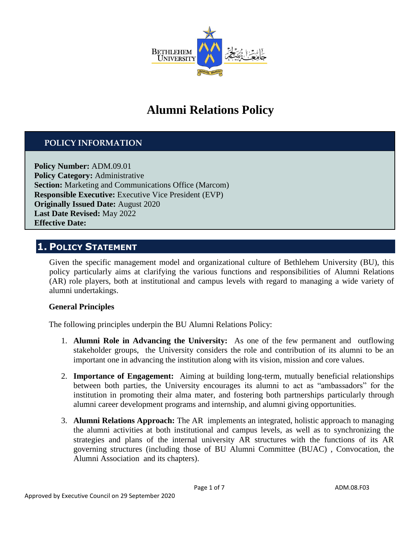

# **Alumni Relations Policy**

### **POLICY INFORMATION**

**Policy Number:** ADM.09.01 **Policy Category: Administrative Section:** Marketing and Communications Office (Marcom) **Responsible Executive:** Executive Vice President (EVP) **Originally Issued Date:** August 2020 **Last Date Revised:** May 2022 **Effective Date:**

### **1. POLICY STATEMENT**

Given the specific management model and organizational culture of Bethlehem University (BU), this policy particularly aims at clarifying the various functions and responsibilities of Alumni Relations (AR) role players, both at institutional and campus levels with regard to managing a wide variety of alumni undertakings.

#### **General Principles**

The following principles underpin the BU Alumni Relations Policy:

- 1. **Alumni Role in Advancing the University:** As one of the few permanent and outflowing stakeholder groups, the University considers the role and contribution of its alumni to be an important one in advancing the institution along with its vision, mission and core values.
- 2. **Importance of Engagement:** Aiming at building long-term, mutually beneficial relationships between both parties, the University encourages its alumni to act as "ambassadors" for the institution in promoting their alma mater, and fostering both partnerships particularly through alumni career development programs and internship, and alumni giving opportunities.
- 3. **Alumni Relations Approach:** The AR implements an integrated, holistic approach to managing the alumni activities at both institutional and campus levels, as well as to synchronizing the strategies and plans of the internal university AR structures with the functions of its AR governing structures (including those of BU Alumni Committee (BUAC) , Convocation, the Alumni Association and its chapters).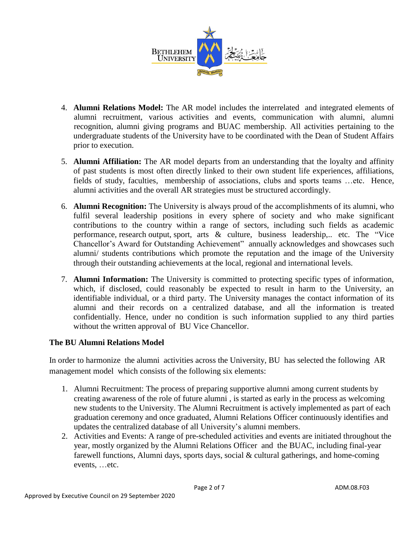

- 4. **Alumni Relations Model:** The AR model includes the interrelated and integrated elements of alumni recruitment, various activities and events, communication with alumni, alumni recognition, alumni giving programs and BUAC membership. All activities pertaining to the undergraduate students of the University have to be coordinated with the Dean of Student Affairs prior to execution.
- 5. **Alumni Affiliation:** The AR model departs from an understanding that the loyalty and affinity of past students is most often directly linked to their own student life experiences, affiliations, fields of study, faculties, membership of associations, clubs and sports teams …etc. Hence, alumni activities and the overall AR strategies must be structured accordingly.
- 6. **Alumni Recognition:** The University is always proud of the accomplishments of its alumni, who fulfil several leadership positions in every sphere of society and who make significant contributions to the country within a range of sectors, including such fields as academic performance, research output, sport, arts  $\&$  culture, business leadership,.. etc. The "Vice" Chancellor's Award for Outstanding Achievement" annually acknowledges and showcases such alumni/ students contributions which promote the reputation and the image of the University through their outstanding achievements at the local, regional and international levels.
- 7. **Alumni Information:** The University is committed to protecting specific types of information, which, if disclosed, could reasonably be expected to result in harm to the University, an identifiable individual, or a third party. The University manages the contact information of its alumni and their records on a centralized database, and all the information is treated confidentially. Hence, under no condition is such information supplied to any third parties without the written approval of BU Vice Chancellor.

#### **The BU Alumni Relations Model**

In order to harmonize the alumni activities across the University, BU has selected the following AR management model which consists of the following six elements:

- 1. Alumni Recruitment: The process of preparing supportive alumni among current students by creating awareness of the role of future alumni , is started as early in the process as welcoming new students to the University. The Alumni Recruitment is actively implemented as part of each graduation ceremony and once graduated, Alumni Relations Officer continuously identifies and updates the centralized database of all University's alumni members.
- 2. Activities and Events: A range of pre-scheduled activities and events are initiated throughout the year, mostly organized by the Alumni Relations Officer and the BUAC, including final-year farewell functions, Alumni days, sports days, social & cultural gatherings, and home-coming events, …etc.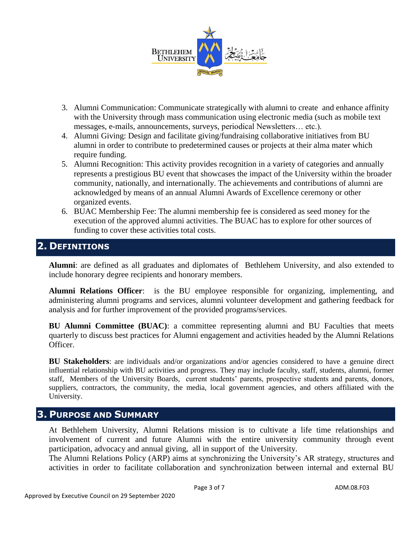

- 3. Alumni Communication: Communicate strategically with alumni to create and enhance affinity with the University through mass communication using electronic media (such as mobile text messages, e-mails, announcements, surveys, periodical Newsletters… etc.).
- 4. Alumni Giving: Design and facilitate giving/fundraising collaborative initiatives from BU alumni in order to contribute to predetermined causes or projects at their alma mater which require funding.
- 5. Alumni Recognition: This activity provides recognition in a variety of categories and annually represents a prestigious BU event that showcases the impact of the University within the broader community, nationally, and internationally. The achievements and contributions of alumni are acknowledged by means of an annual Alumni Awards of Excellence ceremony or other organized events.
- 6. BUAC Membership Fee: The alumni membership fee is considered as seed money for the execution of the approved alumni activities. The BUAC has to explore for other sources of funding to cover these activities total costs.

# **2. DEFINITIONS**

**Alumni**: are defined as all graduates and diplomates of Bethlehem University, and also extended to include honorary degree recipients and honorary members.

**Alumni Relations Officer**: is the BU employee responsible for organizing, implementing, and administering alumni programs and services, alumni volunteer development and gathering feedback for analysis and for further improvement of the provided programs/services.

**BU Alumni Committee (BUAC)**: a committee representing alumni and BU Faculties that meets quarterly to discuss best practices for Alumni engagement and activities headed by the Alumni Relations Officer.

**BU Stakeholders**: are individuals and/or organizations and/or agencies considered to have a genuine direct influential relationship with BU activities and progress. They may include faculty, staff, students, alumni, former staff, Members of the University Boards, current students' parents, prospective students and parents, donors, suppliers, contractors, the community, the media, local government agencies, and others affiliated with the University.

# **3. PURPOSE AND SUMMARY**

At Bethlehem University, Alumni Relations mission is to cultivate a life time relationships and involvement of current and future Alumni with the entire university community through event participation, advocacy and annual giving, all in support of the University.

The Alumni Relations Policy (ARP) aims at synchronizing the University's AR strategy, structures and activities in order to facilitate collaboration and synchronization between internal and external BU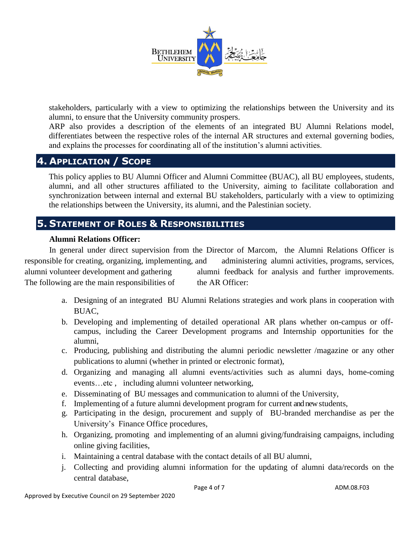

stakeholders, particularly with a view to optimizing the relationships between the University and its alumni, to ensure that the University community prospers.

ARP also provides a description of the elements of an integrated BU Alumni Relations model, differentiates between the respective roles of the internal AR structures and external governing bodies, and explains the processes for coordinating all of the institution's alumni activities.

### **4. APPLICATION / SCOPE**

This policy applies to BU Alumni Officer and Alumni Committee (BUAC), all BU employees, students, alumni, and all other structures affiliated to the University, aiming to facilitate collaboration and synchronization between internal and external BU stakeholders, particularly with a view to optimizing the relationships between the University, its alumni, and the Palestinian society.

# **5. STATEMENT OF ROLES & RESPONSIBILITIES**

#### **Alumni Relations Officer:**

In general under direct supervision from the Director of Marcom, the Alumni Relations Officer is responsible for creating, organizing, implementing, and administering alumni activities, programs, services, alumni volunteer development and gathering alumni feedback for analysis and further improvements. The following are the main responsibilities of the AR Officer:

- a. Designing of an integrated BU Alumni Relations strategies and work plans in cooperation with BUAC,
- b. Developing and implementing of detailed operational AR plans whether on-campus or offcampus, including the Career Development programs and Internship opportunities for the alumni,
- c. Producing, publishing and distributing the alumni periodic newsletter /magazine or any other publications to alumni (whether in printed or electronic format),
- d. Organizing and managing all alumni events/activities such as alumni days, home-coming events…etc , including alumni volunteer networking,
- e. Disseminating of BU messages and communication to alumni of the University,
- f. Implementing of a future alumni development program for current and new students,
- g. Participating in the design, procurement and supply of BU-branded merchandise as per the University's Finance Office procedures,
- h. Organizing, promoting and implementing of an alumni giving/fundraising campaigns, including online giving facilities,
- i. Maintaining a central database with the contact details of all BU alumni,
- j. Collecting and providing alumni information for the updating of alumni data/records on the central database,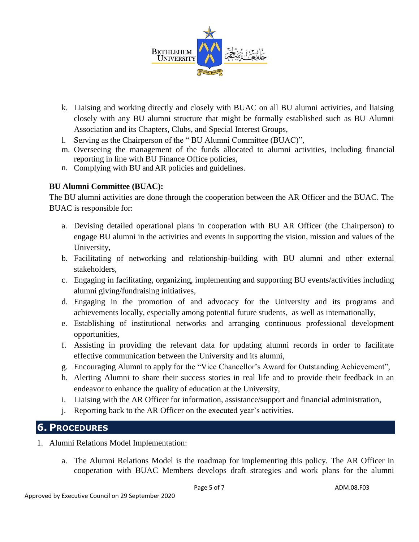

- k. Liaising and working directly and closely with BUAC on all BU alumni activities, and liaising closely with any BU alumni structure that might be formally established such as BU Alumni Association and its Chapters, Clubs, and Special Interest Groups,
- l. Serving as the Chairperson of the " BU Alumni Committee (BUAC)",
- m. Overseeing the management of the funds allocated to alumni activities, including financial reporting in line with BU Finance Office policies,
- n. Complying with BU and AR policies and guidelines.

### **BU Alumni Committee (BUAC):**

The BU alumni activities are done through the cooperation between the AR Officer and the BUAC. The BUAC is responsible for:

- a. Devising detailed operational plans in cooperation with BU AR Officer (the Chairperson) to engage BU alumni in the activities and events in supporting the vision, mission and values of the University,
- b. Facilitating of networking and relationship-building with BU alumni and other external stakeholders,
- c. Engaging in facilitating, organizing, implementing and supporting BU events/activities including alumni giving/fundraising initiatives,
- d. Engaging in the promotion of and advocacy for the University and its programs and achievements locally, especially among potential future students, as well as internationally,
- e. Establishing of institutional networks and arranging continuous professional development opportunities,
- f. Assisting in providing the relevant data for updating alumni records in order to facilitate effective communication between the University and its alumni,
- g. Encouraging Alumni to apply for the "Vice Chancellor's Award for Outstanding Achievement",
- h. Alerting Alumni to share their success stories in real life and to provide their feedback in an endeavor to enhance the quality of education at the University,
- i. Liaising with the AR Officer for information, assistance/support and financial administration,
- j. Reporting back to the AR Officer on the executed year's activities.

### **6. PROCEDURES**

- 1. Alumni Relations Model Implementation:
	- a. The Alumni Relations Model is the roadmap for implementing this policy. The AR Officer in cooperation with BUAC Members develops draft strategies and work plans for the alumni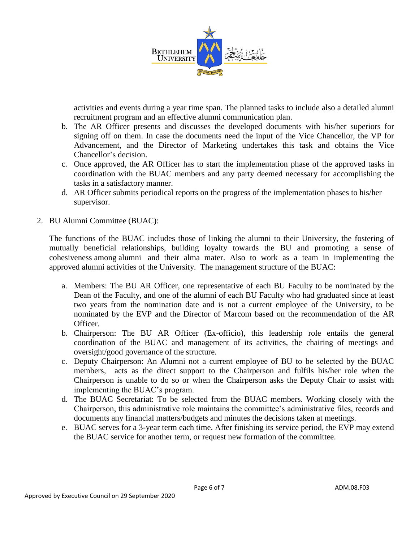

activities and events during a year time span. The planned tasks to include also a detailed alumni recruitment program and an effective alumni communication plan.

- b. The AR Officer presents and discusses the developed documents with his/her superiors for signing off on them. In case the documents need the input of the Vice Chancellor, the VP for Advancement, and the Director of Marketing undertakes this task and obtains the Vice Chancellor's decision.
- c. Once approved, the AR Officer has to start the implementation phase of the approved tasks in coordination with the BUAC members and any party deemed necessary for accomplishing the tasks in a satisfactory manner.
- d. AR Officer submits periodical reports on the progress of the implementation phases to his/her supervisor.
- 2. BU Alumni Committee (BUAC):

The functions of the BUAC includes those of linking the alumni to their University, the fostering of mutually beneficial relationships, building loyalty towards the BU and promoting a sense of cohesiveness among alumni and their alma mater. Also to work as a team in implementing the approved alumni activities of the University. The management structure of the BUAC:

- a. Members: The BU AR Officer, one representative of each BU Faculty to be nominated by the Dean of the Faculty, and one of the alumni of each BU Faculty who had graduated since at least two years from the nomination date and is not a current employee of the University, to be nominated by the EVP and the Director of Marcom based on the recommendation of the AR Officer.
- b. Chairperson: The BU AR Officer (Ex-officio), this leadership role entails the general coordination of the BUAC and management of its activities, the chairing of meetings and oversight/good governance of the structure.
- c. Deputy Chairperson: An Alumni not a current employee of BU to be selected by the BUAC members, acts as the direct support to the Chairperson and fulfils his/her role when the Chairperson is unable to do so or when the Chairperson asks the Deputy Chair to assist with implementing the BUAC's program.
- d. The BUAC Secretariat: To be selected from the BUAC members. Working closely with the Chairperson, this administrative role maintains the committee's administrative files, records and documents any financial matters/budgets and minutes the decisions taken at meetings.
- e. BUAC serves for a 3-year term each time. After finishing its service period, the EVP may extend the BUAC service for another term, or request new formation of the committee.